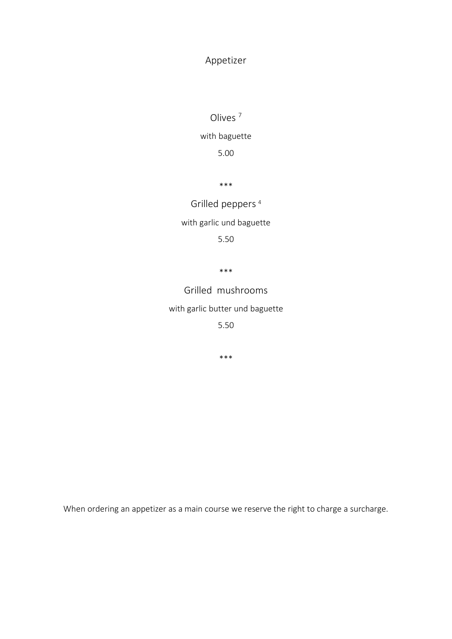# Appetizer

Olives <sup>7</sup>

with baguette

5.00

\*\*\*

Grilled peppers<sup>4</sup> with garlic und baguette 5.50

\*\*\*

Grilled mushrooms

with garlic butter und baguette

5.50

\*\*\*

When ordering an appetizer as a main course we reserve the right to charge a surcharge.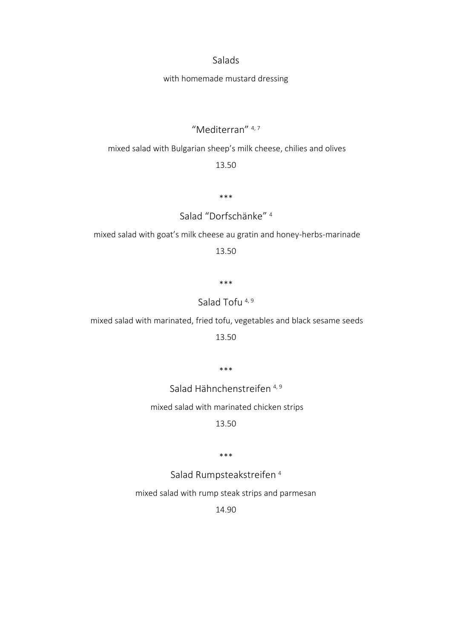#### Salads

#### with homemade mustard dressing

### "Mediterran" 4, 7

#### mixed salad with Bulgarian sheep's milk cheese, chilies and olives

### 13.50

\*\*\*

# Salad "Dorfschänke" <sup>4</sup>

mixed salad with goat's milk cheese au gratin and honey-herbs-marinade

13.50

\*\*\*

### Salad Tofu<sup>4,9</sup>

mixed salad with marinated, fried tofu, vegetables and black sesame seeds

13.50

\*\*\*

Salad Hähnchenstreifen <sup>4, 9</sup>

mixed salad with marinated chicken strips

13.50

\*\*\*

Salad Rumpsteakstreifen <sup>4</sup>

mixed salad with rump steak strips and parmesan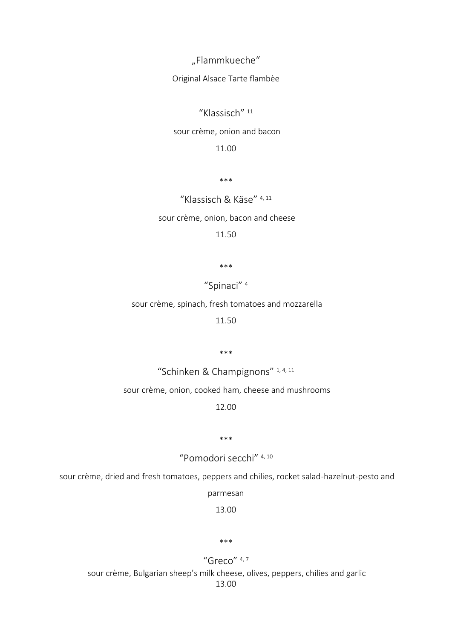"Flammkueche"

Original Alsace Tarte flambèe

"Klassisch" <sup>11</sup>

sour crème, onion and bacon

11.00

\*\*\*

"Klassisch & Käse" 4, 11

sour crème, onion, bacon and cheese

11.50

\*\*\*

"Spinaci" <sup>4</sup>

sour crème, spinach, fresh tomatoes and mozzarella

11.50

\*\*\*

"Schinken & Champignons" 1, 4, 11

sour crème, onion, cooked ham, cheese and mushrooms

12.00

\*\*\*

"Pomodori secchi" 4, 10

sour crème, dried and fresh tomatoes, peppers and chilies, rocket salad-hazelnut-pesto and

parmesan

13.00

#### \*\*\*

"Greco" 4,7 sour crème, Bulgarian sheep's milk cheese, olives, peppers, chilies and garlic 13.00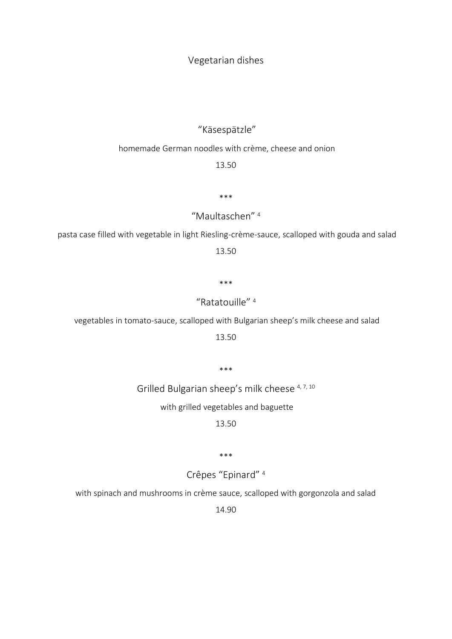Vegetarian dishes

# "Käsespätzle"

### homemade German noodles with crème, cheese and onion

13.50

\*\*\*

"Maultaschen" <sup>4</sup>

pasta case filled with vegetable in light Riesling-crème-sauce, scalloped with gouda and salad

13.50

\*\*\*

"Ratatouille" <sup>4</sup>

vegetables in tomato-sauce, scalloped with Bulgarian sheep's milk cheese and salad

13.50

\*\*\*

Grilled Bulgarian sheep's milk cheese 4, 7, 10

with grilled vegetables and baguette

13.50

\*\*\*

Crêpes "Epinard" <sup>4</sup>

with spinach and mushrooms in crème sauce, scalloped with gorgonzola and salad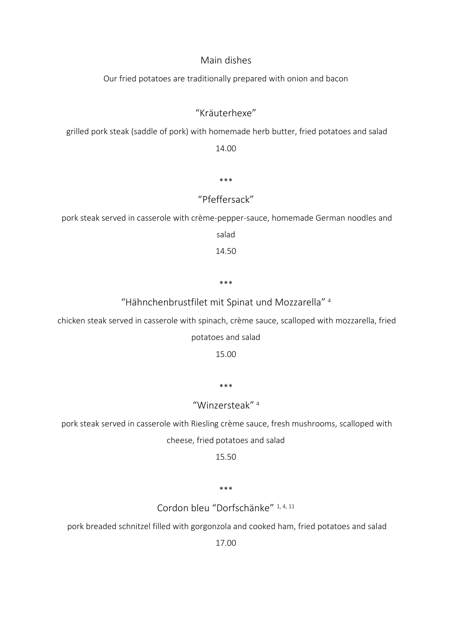### Main dishes

Our fried potatoes are traditionally prepared with onion and bacon

## "Kräuterhexe"

grilled pork steak (saddle of pork) with homemade herb butter, fried potatoes and salad

14.00

\*\*\*

# "Pfeffersack"

pork steak served in casserole with crème-pepper-sauce, homemade German noodles and

salad

14.50

\*\*\*

"Hähnchenbrustfilet mit Spinat und Mozzarella" <sup>4</sup>

chicken steak served in casserole with spinach, crème sauce, scalloped with mozzarella, fried

#### potatoes and salad

15.00

\*\*\*

### "Winzersteak" <sup>4</sup>

pork steak served in casserole with Riesling crème sauce, fresh mushrooms, scalloped with cheese, fried potatoes and salad

15.50

\*\*\*

Cordon bleu "Dorfschänke" 1, 4, 11

pork breaded schnitzel filled with gorgonzola and cooked ham, fried potatoes and salad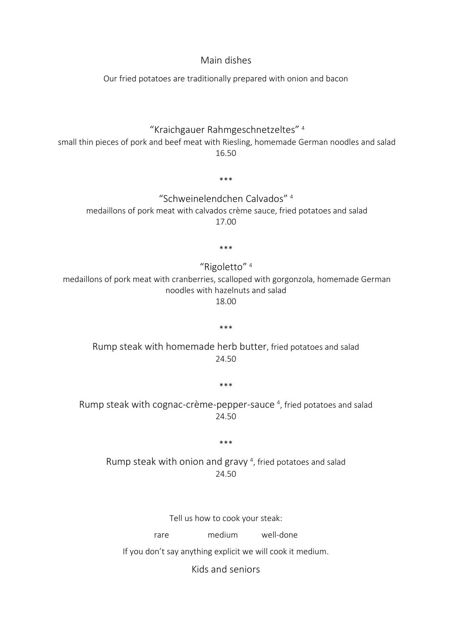Main dishes

Our fried potatoes are traditionally prepared with onion and bacon

"Kraichgauer Rahmgeschnetzeltes" <sup>4</sup>

small thin pieces of pork and beef meat with Riesling, homemade German noodles and salad 16.50

\*\*\*

"Schweinelendchen Calvados" <sup>4</sup> medaillons of pork meat with calvados crème sauce, fried potatoes and salad 17.00

\*\*\*

"Rigoletto" <sup>4</sup>

medaillons of pork meat with cranberries, scalloped with gorgonzola, homemade German noodles with hazelnuts and salad 18.00

\*\*\*

Rump steak with homemade herb butter, fried potatoes and salad 24.50

\*\*\*

Rump steak with cognac-crème-pepper-sauce<sup>4</sup>, fried potatoes and salad 24.50

\*\*\*

Rump steak with onion and gravy<sup>4</sup>, fried potatoes and salad 24.50

Tell us how to cook your steak:

rare medium well-done

If you don't say anything explicit we will cook it medium.

Kids and seniors